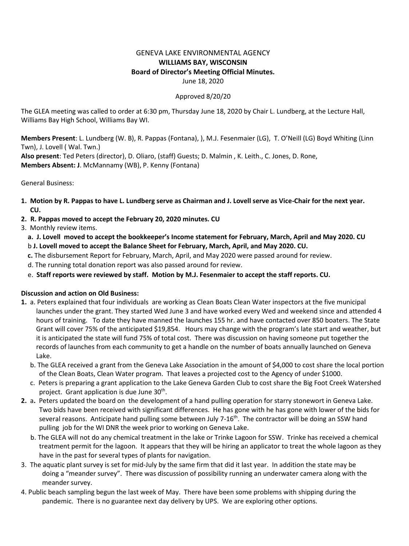## GENEVA LAKE ENVIRONMENTAL AGENCY **WILLIAMS BAY, WISCONSIN Board of Director's Meeting Official Minutes.** June 18, 2020

## Approved 8/20/20

The GLEA meeting was called to order at 6:30 pm, Thursday June 18, 2020 by Chair L. Lundberg, at the Lecture Hall, Williams Bay High School, Williams Bay WI.

**Members Present**: L. Lundberg (W. B), R. Pappas (Fontana), ), M.J. Fesenmaier (LG), T. O'Neill (LG) Boyd Whiting (Linn Twn), J. Lovell ( Wal. Twn.)

**Also present**: Ted Peters (director), D. Oliaro, (staff) Guests; D. Malmin , K. Leith., C. Jones, D. Rone, **Members Absent: J**. McMannamy (WB), P. Kenny (Fontana)

General Business:

- **1. Motion by R. Pappas to have L. Lundberg serve as Chairman and J. Lovell serve as Vice-Chair for the next year. CU.**
- **2. R. Pappas moved to accept the February 20, 2020 minutes. CU**
- 3. Monthly review items.
	- **a. J. Lovell moved to accept the bookkeeper's Income statement for February, March, April and May 2020. CU**
	- b **J. Lovell moved to accept the Balance Sheet for February, March, April, and May 2020. CU.**
	- **c.** The disbursement Report for February, March, April, and May 2020 were passed around for review.
	- d. The running total donation report was also passed around for review.
	- e. **Staff reports were reviewed by staff. Motion by M.J. Fesenmaier to accept the staff reports. CU.**

## **Discussion and action on Old Business:**

- **1.** a. Peters explained that four individuals are working as Clean Boats Clean Water inspectors at the five municipal launches under the grant. They started Wed June 3 and have worked every Wed and weekend since and attended 4 hours of training. To date they have manned the launches 155 hr. and have contacted over 850 boaters. The State Grant will cover 75% of the anticipated \$19,854. Hours may change with the program's late start and weather, but it is anticipated the state will fund 75% of total cost. There was discussion on having someone put together the records of launches from each community to get a handle on the number of boats annually launched on Geneva Lake.
	- b. The GLEA received a grant from the Geneva Lake Association in the amount of \$4,000 to cost share the local portion of the Clean Boats, Clean Water program. That leaves a projected cost to the Agency of under \$1000.
	- c. Peters is preparing a grant application to the Lake Geneva Garden Club to cost share the Big Foot Creek Watershed project. Grant application is due June 30<sup>th</sup>.
- **2.** a**.** Peters updated the board on the development of a hand pulling operation for starry stonewort in Geneva Lake. Two bids have been received with significant differences. He has gone with he has gone with lower of the bids for several reasons. Anticipate hand pulling some between July 7-16<sup>th</sup>. The contractor will be doing an SSW hand pulling job for the WI DNR the week prior to working on Geneva Lake.
	- b. The GLEA will not do any chemical treatment in the lake or Trinke Lagoon for SSW. Trinke has received a chemical treatment permit for the lagoon. It appears that they will be hiring an applicator to treat the whole lagoon as they have in the past for several types of plants for navigation.
- 3. The aquatic plant survey is set for mid-July by the same firm that did it last year. In addition the state may be doing a "meander survey". There was discussion of possibility running an underwater camera along with the meander survey.
- 4. Public beach sampling begun the last week of May. There have been some problems with shipping during the pandemic. There is no guarantee next day delivery by UPS. We are exploring other options.